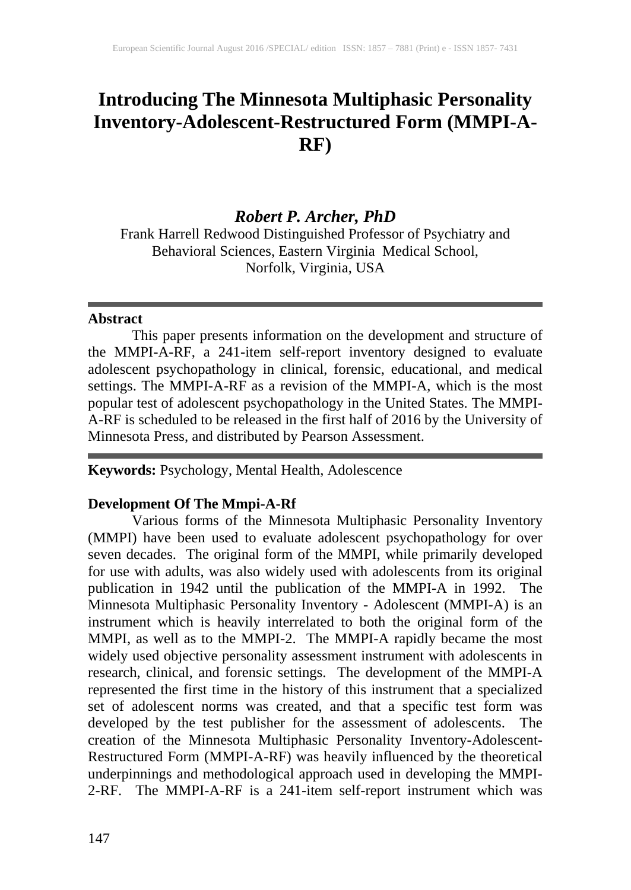# **Introducing The Minnesota Multiphasic Personality Inventory-Adolescent-Restructured Form (MMPI-A-RF)**

## *Robert P. Archer, PhD*

Frank Harrell Redwood Distinguished Professor of Psychiatry and Behavioral Sciences, Eastern Virginia Medical School, Norfolk, Virginia, USA

#### **Abstract**

This paper presents information on the development and structure of the MMPI-A-RF, a 241-item self-report inventory designed to evaluate adolescent psychopathology in clinical, forensic, educational, and medical settings. The MMPI-A-RF as a revision of the MMPI-A, which is the most popular test of adolescent psychopathology in the United States. The MMPI-A-RF is scheduled to be released in the first half of 2016 by the University of Minnesota Press, and distributed by Pearson Assessment.

**Keywords:** Psychology, Mental Health, Adolescence

### **Development Of The Mmpi-A-Rf**

Various forms of the Minnesota Multiphasic Personality Inventory (MMPI) have been used to evaluate adolescent psychopathology for over seven decades. The original form of the MMPI, while primarily developed for use with adults, was also widely used with adolescents from its original publication in 1942 until the publication of the MMPI-A in 1992. The Minnesota Multiphasic Personality Inventory - Adolescent (MMPI-A) is an instrument which is heavily interrelated to both the original form of the MMPI, as well as to the MMPI-2. The MMPI-A rapidly became the most widely used objective personality assessment instrument with adolescents in research, clinical, and forensic settings. The development of the MMPI-A represented the first time in the history of this instrument that a specialized set of adolescent norms was created, and that a specific test form was developed by the test publisher for the assessment of adolescents. The creation of the Minnesota Multiphasic Personality Inventory-Adolescent-Restructured Form (MMPI-A-RF) was heavily influenced by the theoretical underpinnings and methodological approach used in developing the MMPI-2-RF. The MMPI-A-RF is a 241-item self-report instrument which was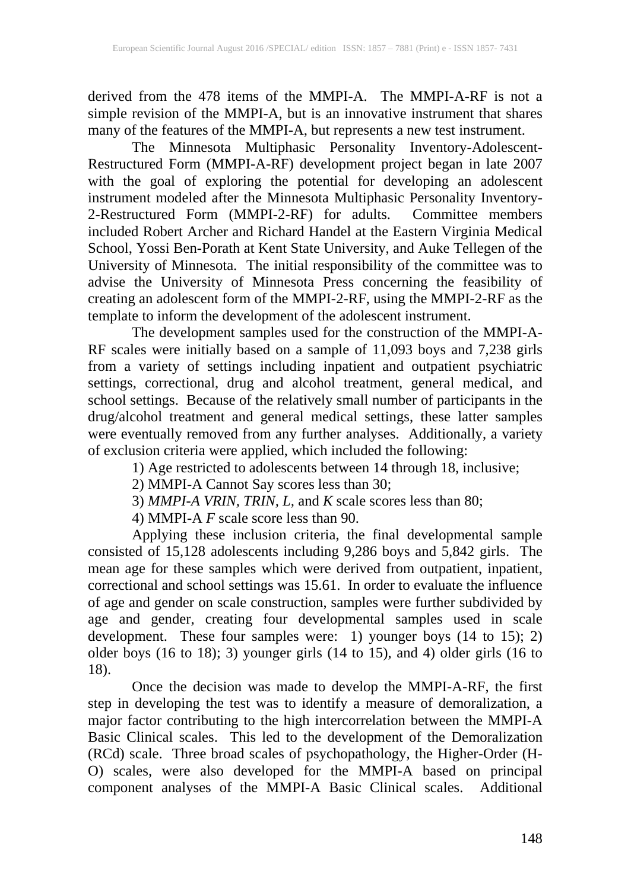derived from the 478 items of the MMPI-A. The MMPI-A-RF is not a simple revision of the MMPI-A, but is an innovative instrument that shares many of the features of the MMPI-A, but represents a new test instrument.

The Minnesota Multiphasic Personality Inventory-Adolescent-Restructured Form (MMPI-A-RF) development project began in late 2007 with the goal of exploring the potential for developing an adolescent instrument modeled after the Minnesota Multiphasic Personality Inventory-2-Restructured Form (MMPI-2-RF) for adults. Committee members included Robert Archer and Richard Handel at the Eastern Virginia Medical School, Yossi Ben-Porath at Kent State University, and Auke Tellegen of the University of Minnesota. The initial responsibility of the committee was to advise the University of Minnesota Press concerning the feasibility of creating an adolescent form of the MMPI-2-RF, using the MMPI-2-RF as the template to inform the development of the adolescent instrument.

The development samples used for the construction of the MMPI-A-RF scales were initially based on a sample of 11,093 boys and 7,238 girls from a variety of settings including inpatient and outpatient psychiatric settings, correctional, drug and alcohol treatment, general medical, and school settings. Because of the relatively small number of participants in the drug/alcohol treatment and general medical settings, these latter samples were eventually removed from any further analyses. Additionally, a variety of exclusion criteria were applied, which included the following:

1) Age restricted to adolescents between 14 through 18, inclusive;

2) MMPI-A Cannot Say scores less than 30;

3) *MMPI-A VRIN, TRIN, L,* and *K* scale scores less than 80;

4) MMPI-A  $F$  scale score less than 90.

Applying these inclusion criteria, the final developmental sample consisted of 15,128 adolescents including 9,286 boys and 5,842 girls. The mean age for these samples which were derived from outpatient, inpatient, correctional and school settings was 15.61. In order to evaluate the influence of age and gender on scale construction, samples were further subdivided by age and gender, creating four developmental samples used in scale development. These four samples were: 1) younger boys (14 to 15); 2) older boys (16 to 18); 3) younger girls (14 to 15), and 4) older girls (16 to 18).

Once the decision was made to develop the MMPI-A-RF, the first step in developing the test was to identify a measure of demoralization, a major factor contributing to the high intercorrelation between the MMPI-A Basic Clinical scales. This led to the development of the Demoralization (RCd) scale. Three broad scales of psychopathology, the Higher-Order (H-O) scales, were also developed for the MMPI-A based on principal component analyses of the MMPI-A Basic Clinical scales. Additional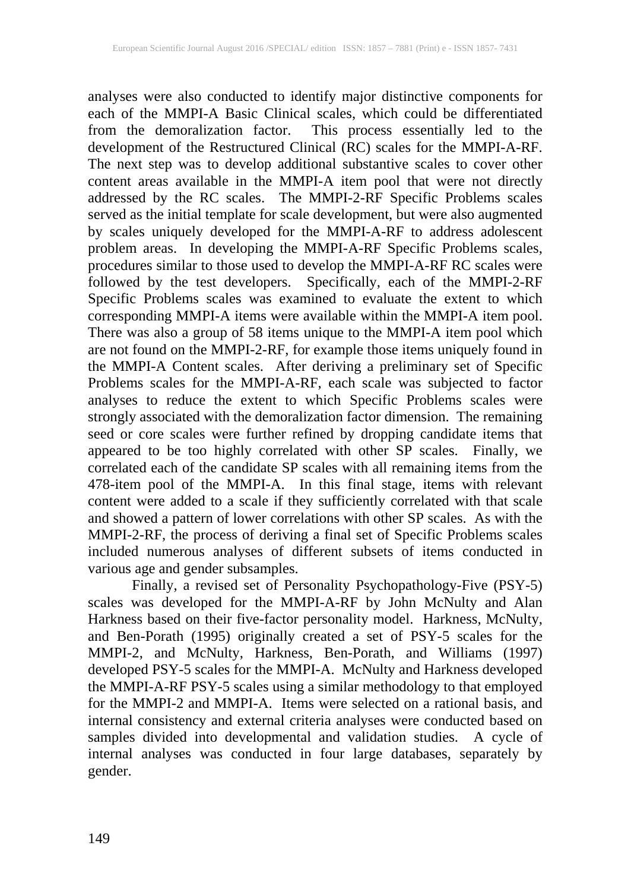analyses were also conducted to identify major distinctive components for each of the MMPI-A Basic Clinical scales, which could be differentiated from the demoralization factor. This process essentially led to the development of the Restructured Clinical (RC) scales for the MMPI-A-RF. The next step was to develop additional substantive scales to cover other content areas available in the MMPI-A item pool that were not directly addressed by the RC scales. The MMPI-2-RF Specific Problems scales served as the initial template for scale development, but were also augmented by scales uniquely developed for the MMPI-A-RF to address adolescent problem areas. In developing the MMPI-A-RF Specific Problems scales, procedures similar to those used to develop the MMPI-A-RF RC scales were followed by the test developers. Specifically, each of the MMPI-2-RF Specific Problems scales was examined to evaluate the extent to which corresponding MMPI-A items were available within the MMPI-A item pool. There was also a group of 58 items unique to the MMPI-A item pool which are not found on the MMPI-2-RF, for example those items uniquely found in the MMPI-A Content scales. After deriving a preliminary set of Specific Problems scales for the MMPI-A-RF, each scale was subjected to factor analyses to reduce the extent to which Specific Problems scales were strongly associated with the demoralization factor dimension. The remaining seed or core scales were further refined by dropping candidate items that appeared to be too highly correlated with other SP scales. Finally, we correlated each of the candidate SP scales with all remaining items from the 478-item pool of the MMPI-A. In this final stage, items with relevant content were added to a scale if they sufficiently correlated with that scale and showed a pattern of lower correlations with other SP scales. As with the MMPI-2-RF, the process of deriving a final set of Specific Problems scales included numerous analyses of different subsets of items conducted in various age and gender subsamples.

Finally, a revised set of Personality Psychopathology-Five (PSY-5) scales was developed for the MMPI-A-RF by John McNulty and Alan Harkness based on their five-factor personality model. Harkness, McNulty, and Ben-Porath (1995) originally created a set of PSY-5 scales for the MMPI-2, and McNulty, Harkness, Ben-Porath, and Williams (1997) developed PSY-5 scales for the MMPI-A. McNulty and Harkness developed the MMPI-A-RF PSY-5 scales using a similar methodology to that employed for the MMPI-2 and MMPI-A. Items were selected on a rational basis, and internal consistency and external criteria analyses were conducted based on samples divided into developmental and validation studies. A cycle of internal analyses was conducted in four large databases, separately by gender.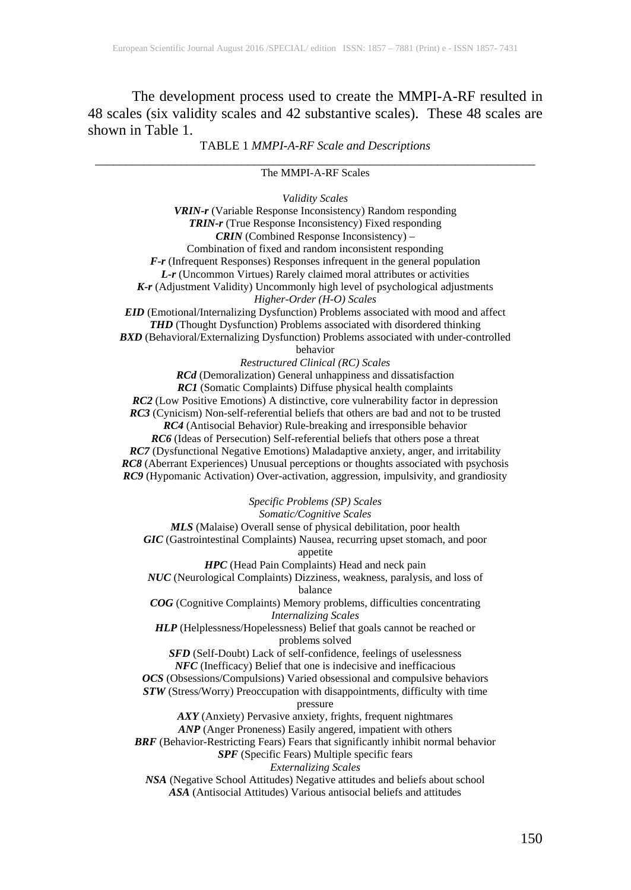The development process used to create the MMPI-A-RF resulted in 48 scales (six validity scales and 42 substantive scales). These 48 scales are shown in Table 1.

TABLE 1 *MMPI-A-RF Scale and Descriptions*

#### \_\_\_\_\_\_\_\_\_\_\_\_\_\_\_\_\_\_\_\_\_\_\_\_\_\_\_\_\_\_\_\_\_\_\_\_\_\_\_\_\_\_\_\_\_\_\_\_\_\_\_\_\_\_\_\_\_\_\_\_\_\_\_\_\_\_\_\_\_\_\_\_ The MMPI-A-RF Scales

*Validity Scales*

*VRIN-r* (Variable Response Inconsistency) Random responding *TRIN-r* (True Response Inconsistency) Fixed responding *CRIN* (Combined Response Inconsistency) – Combination of fixed and random inconsistent responding *F-r* (Infrequent Responses) Responses infrequent in the general population *L-r* (Uncommon Virtues) Rarely claimed moral attributes or activities *K-r* (Adjustment Validity) Uncommonly high level of psychological adjustments *Higher-Order (H-O) Scales EID* (Emotional/Internalizing Dysfunction) Problems associated with mood and affect **THD** (Thought Dysfunction) Problems associated with disordered thinking *BXD* (Behavioral/Externalizing Dysfunction) Problems associated with under-controlled behavior *Restructured Clinical (RC) Scales RCd* (Demoralization) General unhappiness and dissatisfaction *RC1* (Somatic Complaints) Diffuse physical health complaints *RC2* (Low Positive Emotions) A distinctive, core vulnerability factor in depression *RC3* (Cynicism) Non-self-referential beliefs that others are bad and not to be trusted *RC4* (Antisocial Behavior) Rule-breaking and irresponsible behavior *RC6* (Ideas of Persecution) Self-referential beliefs that others pose a threat *RC7* (Dysfunctional Negative Emotions) Maladaptive anxiety, anger, and irritability *RC8* (Aberrant Experiences) Unusual perceptions or thoughts associated with psychosis *RC9* (Hypomanic Activation) Over-activation, aggression, impulsivity, and grandiosity *Specific Problems (SP) Scales Somatic/Cognitive Scales MLS* (Malaise) Overall sense of physical debilitation, poor health *GIC* (Gastrointestinal Complaints) Nausea, recurring upset stomach, and poor appetite *HPC* (Head Pain Complaints) Head and neck pain *NUC* (Neurological Complaints) Dizziness, weakness, paralysis, and loss of balance *COG* (Cognitive Complaints) Memory problems, difficulties concentrating *Internalizing Scales HLP* (Helplessness/Hopelessness) Belief that goals cannot be reached or problems solved *SFD* (Self-Doubt) Lack of self-confidence, feelings of uselessness *NFC* (Inefficacy) Belief that one is indecisive and inefficacious *OCS* (Obsessions/Compulsions) Varied obsessional and compulsive behaviors *STW* (Stress/Worry) Preoccupation with disappointments, difficulty with time pressure *AXY* (Anxiety) Pervasive anxiety, frights, frequent nightmares *ANP* (Anger Proneness) Easily angered, impatient with others *BRF* (Behavior-Restricting Fears) Fears that significantly inhibit normal behavior *SPF* (Specific Fears) Multiple specific fears *Externalizing Scales NSA* (Negative School Attitudes) Negative attitudes and beliefs about school *ASA* (Antisocial Attitudes) Various antisocial beliefs and attitudes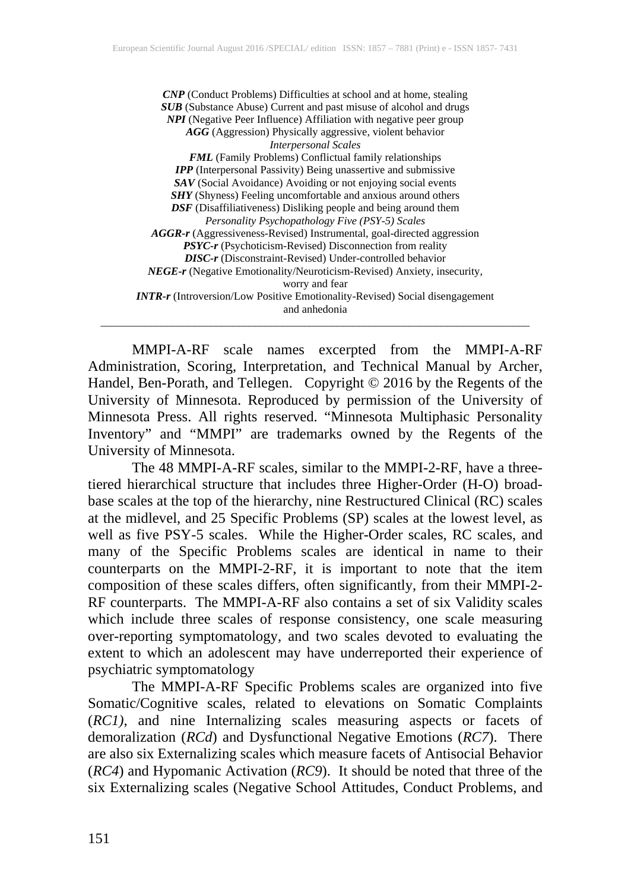*CNP* (Conduct Problems) Difficulties at school and at home, stealing *SUB* (Substance Abuse) Current and past misuse of alcohol and drugs *NPI* (Negative Peer Influence) Affiliation with negative peer group *AGG* (Aggression) Physically aggressive, violent behavior *Interpersonal Scales FML* (Family Problems) Conflictual family relationships *IPP* (Interpersonal Passivity) Being unassertive and submissive *SAV* (Social Avoidance) Avoiding or not enjoying social events *SHY* (Shyness) Feeling uncomfortable and anxious around others *DSF* (Disaffiliativeness) Disliking people and being around them *Personality Psychopathology Five (PSY-5) Scales AGGR-r* (Aggressiveness-Revised) Instrumental, goal-directed aggression *PSYC-r* (Psychoticism-Revised) Disconnection from reality *DISC-r* (Disconstraint-Revised) Under-controlled behavior *NEGE-r* (Negative Emotionality/Neuroticism-Revised) Anxiety, insecurity, worry and fear *INTR-r* (Introversion/Low Positive Emotionality-Revised) Social disengagement and anhedonia \_\_\_\_\_\_\_\_\_\_\_\_\_\_\_\_\_\_\_\_\_\_\_\_\_\_\_\_\_\_\_\_\_\_\_\_\_\_\_\_\_\_\_\_\_\_\_\_\_\_\_\_\_\_\_\_\_\_\_\_\_\_\_\_\_\_\_\_\_\_\_\_\_\_\_\_\_\_

MMPI-A-RF scale names excerpted from the MMPI-A-RF Administration, Scoring, Interpretation, and Technical Manual by Archer, Handel, Ben-Porath, and Tellegen. Copyright © 2016 by the Regents of the University of Minnesota. Reproduced by permission of the University of Minnesota Press. All rights reserved. "Minnesota Multiphasic Personality Inventory" and "MMPI" are trademarks owned by the Regents of the University of Minnesota.

The 48 MMPI-A-RF scales, similar to the MMPI-2-RF, have a threetiered hierarchical structure that includes three Higher-Order (H-O) broadbase scales at the top of the hierarchy, nine Restructured Clinical (RC) scales at the midlevel, and 25 Specific Problems (SP) scales at the lowest level, as well as five PSY-5 scales. While the Higher-Order scales, RC scales, and many of the Specific Problems scales are identical in name to their counterparts on the MMPI-2-RF, it is important to note that the item composition of these scales differs, often significantly, from their MMPI-2- RF counterparts. The MMPI-A-RF also contains a set of six Validity scales which include three scales of response consistency, one scale measuring over-reporting symptomatology, and two scales devoted to evaluating the extent to which an adolescent may have underreported their experience of psychiatric symptomatology

The MMPI-A-RF Specific Problems scales are organized into five Somatic/Cognitive scales, related to elevations on Somatic Complaints (*RC1)*, and nine Internalizing scales measuring aspects or facets of demoralization (*RCd*) and Dysfunctional Negative Emotions (*RC7*). There are also six Externalizing scales which measure facets of Antisocial Behavior (*RC4*) and Hypomanic Activation (*RC9*). It should be noted that three of the six Externalizing scales (Negative School Attitudes, Conduct Problems, and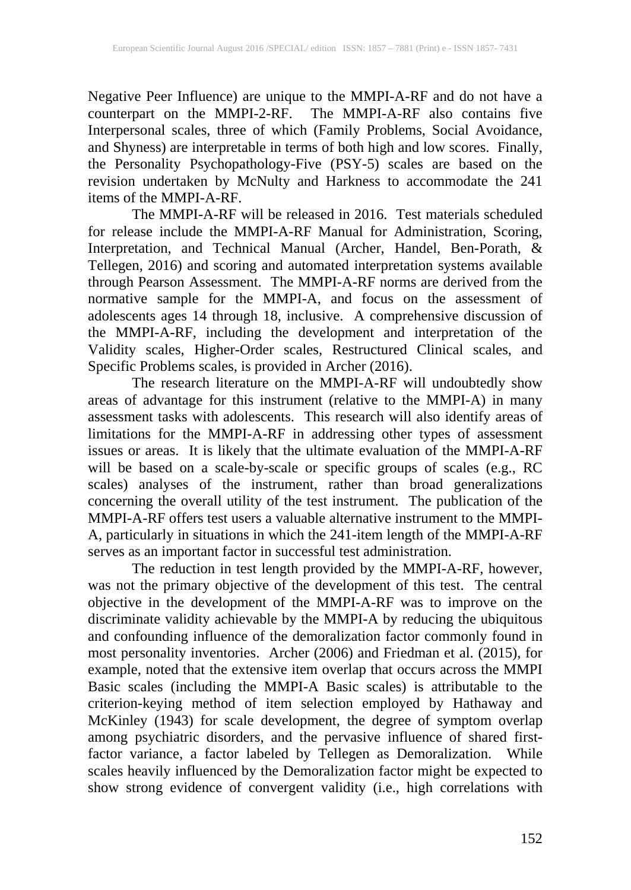Negative Peer Influence) are unique to the MMPI-A-RF and do not have a counterpart on the MMPI-2-RF. The MMPI-A-RF also contains five Interpersonal scales, three of which (Family Problems, Social Avoidance, and Shyness) are interpretable in terms of both high and low scores. Finally, the Personality Psychopathology-Five (PSY-5) scales are based on the revision undertaken by McNulty and Harkness to accommodate the 241 items of the MMPI-A-RF.

The MMPI-A-RF will be released in 2016. Test materials scheduled for release include the MMPI-A-RF Manual for Administration, Scoring, Interpretation, and Technical Manual (Archer, Handel, Ben-Porath, & Tellegen, 2016) and scoring and automated interpretation systems available through Pearson Assessment. The MMPI-A-RF norms are derived from the normative sample for the MMPI-A, and focus on the assessment of adolescents ages 14 through 18, inclusive. A comprehensive discussion of the MMPI-A-RF, including the development and interpretation of the Validity scales, Higher-Order scales, Restructured Clinical scales, and Specific Problems scales, is provided in Archer (2016).

The research literature on the MMPI-A-RF will undoubtedly show areas of advantage for this instrument (relative to the MMPI-A) in many assessment tasks with adolescents. This research will also identify areas of limitations for the MMPI-A-RF in addressing other types of assessment issues or areas. It is likely that the ultimate evaluation of the MMPI-A-RF will be based on a scale-by-scale or specific groups of scales (e.g., RC scales) analyses of the instrument, rather than broad generalizations concerning the overall utility of the test instrument. The publication of the MMPI-A-RF offers test users a valuable alternative instrument to the MMPI-A, particularly in situations in which the 241-item length of the MMPI-A-RF serves as an important factor in successful test administration.

The reduction in test length provided by the MMPI-A-RF, however, was not the primary objective of the development of this test. The central objective in the development of the MMPI-A-RF was to improve on the discriminate validity achievable by the MMPI-A by reducing the ubiquitous and confounding influence of the demoralization factor commonly found in most personality inventories. Archer (2006) and Friedman et al. (2015), for example, noted that the extensive item overlap that occurs across the MMPI Basic scales (including the MMPI-A Basic scales) is attributable to the criterion-keying method of item selection employed by Hathaway and McKinley (1943) for scale development, the degree of symptom overlap among psychiatric disorders, and the pervasive influence of shared firstfactor variance, a factor labeled by Tellegen as Demoralization. While scales heavily influenced by the Demoralization factor might be expected to show strong evidence of convergent validity (i.e., high correlations with